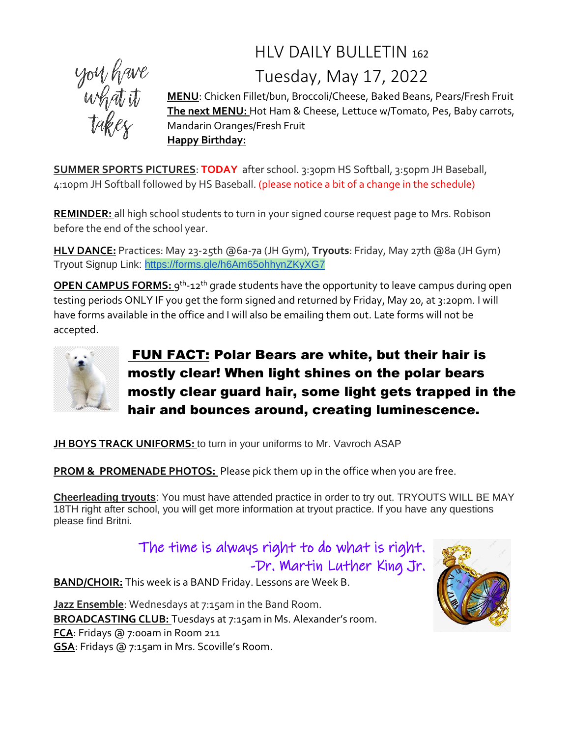## HLV DAILY BULLETIN <sup>162</sup> Tuesday, May 17, 2022



**MENU**: Chicken Fillet/bun, Broccoli/Cheese, Baked Beans, Pears/Fresh Fruit **The next MENU:** Hot Ham & Cheese, Lettuce w/Tomato, Pes, Baby carrots, Mandarin Oranges/Fresh Fruit **Happy Birthday:**

**SUMMER SPORTS PICTURES**: **TODAY** after school. 3:30pm HS Softball, 3:50pm JH Baseball, 4:10pm JH Softball followed by HS Baseball. (please notice a bit of a change in the schedule)

**REMINDER:** all high school students to turn in your signed course request page to Mrs. Robison before the end of the school year.

**HLV DANCE:** Practices: May 23-25th @6a-7a (JH Gym), **Tryouts**: Friday, May 27th @8a (JH Gym) Tryout Signup Link: <https://forms.gle/h6Am65ohhynZKyXG7>

**OPEN CAMPUS FORMS:** 9<sup>th</sup>-12<sup>th</sup> grade students have the opportunity to leave campus during open testing periods ONLY IF you get the form signed and returned by Friday, May 20, at 3:20pm. I will have forms available in the office and I will also be emailing them out. Late forms will not be accepted.



FUN FACT: Polar Bears are white, but their hair is mostly clear! When light shines on the polar bears mostly clear guard hair, some light gets trapped in the hair and bounces around, creating luminescence.

**JH BOYS TRACK UNIFORMS:** to turn in your uniforms to Mr. Vavroch ASAP

**PROM & PROMENADE PHOTOS:** Please pick them up in the office when you are free.

**Cheerleading tryouts**: You must have attended practice in order to try out. TRYOUTS WILL BE MAY 18TH right after school, you will get more information at tryout practice. If you have any questions please find Britni.

> The time is always right to do what is right. -Dr. Martin Luther King Jr.

**BAND/CHOIR:** This week is a BAND Friday. Lessons are Week B.

**Jazz Ensemble**: Wednesdays at 7:15am in the Band Room. **BROADCASTING CLUB:** Tuesdays at 7:15am in Ms. Alexander's room. **FCA**: Fridays @ 7:00am in Room 211 **GSA**: Fridays @ 7:15am in Mrs. Scoville's Room.